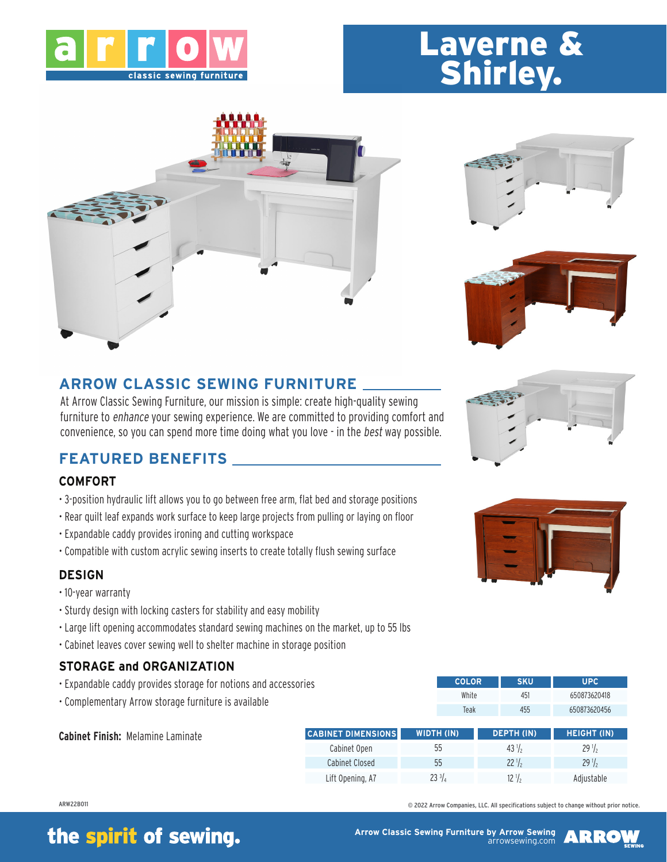

# Laverne & Shirley.







## **ARROW CLASSIC SEWING FURNITURE**

At Arrow Classic Sewing Furniture, our mission is simple: create high-quality sewing furniture to enhance your sewing experience. We are committed to providing comfort and convenience, so you can spend more time doing what you love - in the best way possible.

### **FEATURED BENEFITS**

#### **COMFORT**

- 3-position hydraulic lift allows you to go between free arm, flat bed and storage positions
- Rear quilt leaf expands work surface to keep large projects from pulling or laying on floor
- Expandable caddy provides ironing and cutting workspace
- Compatible with custom acrylic sewing inserts to create totally flush sewing surface

#### **DESIGN**

- 10-year warranty
- Sturdy design with locking casters for stability and easy mobility
- Large lift opening accommodates standard sewing machines on the market, up to 55 lbs
- Cabinet leaves cover sewing well to shelter machine in storage position

### **STORAGE and ORGANIZATION**

- Expandable caddy provides storage for notions and accessories
- Complementary Arrow storage furniture is available

| <b>Cabinet Finish: Melamine Laminate</b> | <b>CABINET DIMENSIONS</b> | WIDTH (IN) | <b>DEPTH (IN)</b> | <b>HEIGHT (IN)</b> |
|------------------------------------------|---------------------------|------------|-------------------|--------------------|
|                                          | Cabinet Open              | 55         | $43\frac{1}{2}$   | $29\frac{1}{2}$    |
|                                          | Cabinet Closed            | 55         | $22\frac{1}{2}$   | $29\frac{1}{2}$    |
|                                          | Lift Opening, A7          | 23 ¾       |                   | Adjustable         |

ARW22B011

# the spirit of sewing.







White 451 650873620418 Teak 455 650873620456

**COLOR SKU UPC**

© 2022 Arrow Companies, LLC. All specifications subject to change without prior notice.